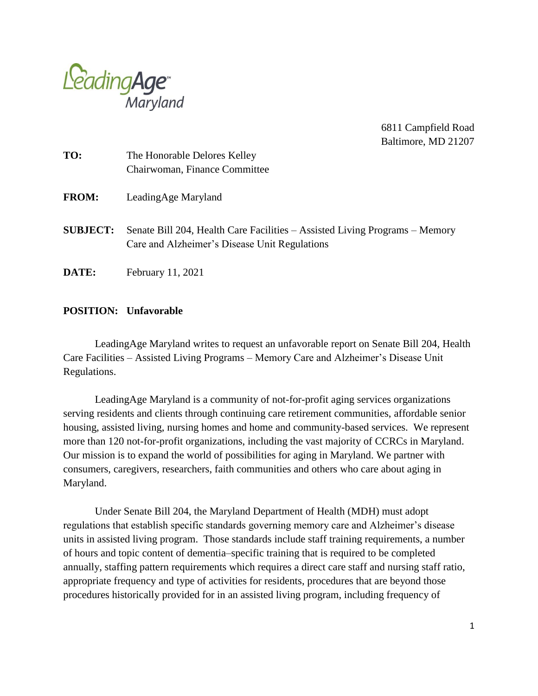

6811 Campfield Road Baltimore, MD 21207

| TO:             | The Honorable Delores Kelley<br>Chairwoman, Finance Committee                                                                |
|-----------------|------------------------------------------------------------------------------------------------------------------------------|
| <b>FROM:</b>    | LeadingAge Maryland                                                                                                          |
| <b>SUBJECT:</b> | Senate Bill 204, Health Care Facilities – Assisted Living Programs – Memory<br>Care and Alzheimer's Disease Unit Regulations |
| DATE:           | February 11, 2021                                                                                                            |

## **POSITION: Unfavorable**

LeadingAge Maryland writes to request an unfavorable report on Senate Bill 204, Health Care Facilities – Assisted Living Programs – Memory Care and Alzheimer's Disease Unit Regulations.

LeadingAge Maryland is a community of not-for-profit aging services organizations serving residents and clients through continuing care retirement communities, affordable senior housing, assisted living, nursing homes and home and community-based services. We represent more than 120 not-for-profit organizations, including the vast majority of CCRCs in Maryland. Our mission is to expand the world of possibilities for aging in Maryland. We partner with consumers, caregivers, researchers, faith communities and others who care about aging in Maryland.

Under Senate Bill 204, the Maryland Department of Health (MDH) must adopt regulations that establish specific standards governing memory care and Alzheimer's disease units in assisted living program. Those standards include staff training requirements, a number of hours and topic content of dementia–specific training that is required to be completed annually, staffing pattern requirements which requires a direct care staff and nursing staff ratio, appropriate frequency and type of activities for residents, procedures that are beyond those procedures historically provided for in an assisted living program, including frequency of